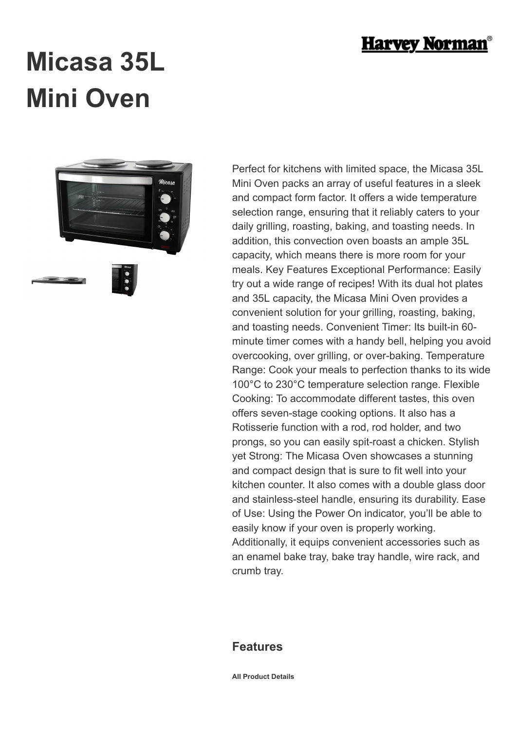

## **Micasa 35L Mini Oven**



Perfect for kitchens with limited space, the Micasa 35L Mini Oven packs an array of useful features in a sleek and compact form factor. It offers a wide temperature selection range, ensuring that it reliably caters to your daily grilling, roasting, baking, and toasting needs. In addition, this convection oven boasts an ample 35L capacity, which means there is more room for your meals. Key Features Exceptional Performance: Easily try out a wide range of recipes! With its dual hot plates and 35L capacity, the Micasa Mini Oven provides a convenient solution for your grilling, roasting, baking, and toasting needs. Convenient Timer: Its built-in 60 minute timer comes with a handy bell, helping you avoid overcooking, over grilling, or over-baking. Temperature Range: Cook your meals to perfection thanks to its wide 100°C to 230°C temperature selection range. Flexible Cooking: To accommodate different tastes, this oven offers seven-stage cooking options. It also has a Rotisserie function with a rod, rod holder, and two prongs, so you can easily spit-roast a chicken. Stylish yet Strong: The Micasa Oven showcases a stunning and compact design that is sure to fit well into your kitchen counter. It also comes with a double glass door and stainless-steel handle, ensuring its durability. Ease of Use: Using the Power On indicator, you'll be able to easily know if your oven is properly working. Additionally, it equips convenient accessories such as an enamel bake tray, bake tray handle, wire rack, and crumb tray.

## **Features**

**All Product Details**